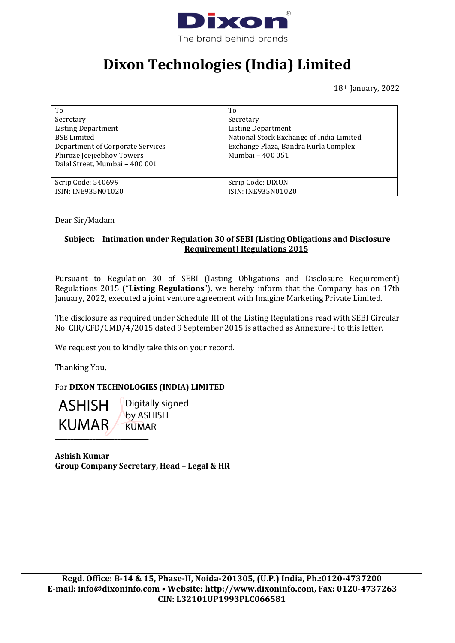

## **Dixon Technologies (India) Limited**

18<sup>th</sup> January, 2022

| To                                                          | To                                       |
|-------------------------------------------------------------|------------------------------------------|
| Secretary                                                   | Secretary                                |
| <b>Listing Department</b>                                   | <b>Listing Department</b>                |
| <b>BSE</b> Limited                                          | National Stock Exchange of India Limited |
| Department of Corporate Services                            | Exchange Plaza, Bandra Kurla Complex     |
| Phiroze Jeejeebhoy Towers<br>Dalal Street, Mumbai - 400 001 | Mumbai - 400 051                         |
| Scrip Code: 540699                                          | Scrip Code: DIXON                        |
| ISIN: INE935N01020                                          | ISIN: INE935N01020                       |

Dear Sir/Madam

## **Subject: Intimation under Regulation 30 of SEBI (Listing Obligations and Disclosure Requirement) Regulations 2015**

Pursuant to Regulation 30 of SEBI (Listing Obligations and Disclosure Requirement) Regulations 2015 ("**Listing Regulations**"), we hereby inform that the Company has on 17th January, 2022, executed a joint venture agreement with Imagine Marketing Private Limited.

The disclosure as required under Schedule III of the Listing Regulations read with SEBI Circular No. CIR/CFD/CMD/4/2015 dated 9 September 2015 is attached as Annexure-I to this letter.

We request you to kindly take this on your record.

Thanking You,

## For **DIXON TECHNOLOGIES (INDIA) LIMITED**

ASHISH KUMAR

**\_\_\_\_\_\_\_\_\_\_\_\_\_\_\_\_\_\_\_\_\_\_\_\_\_\_\_\_\_\_** Digitally signed by ASHISH KUMAR

**Ashish Kumar Group Company Secretary, Head – Legal & HR**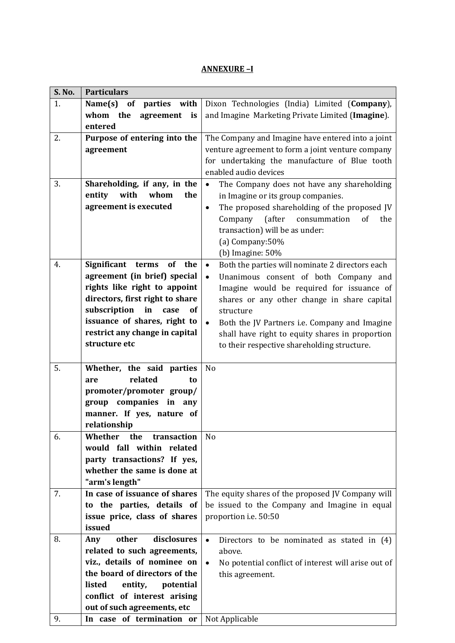## **ANNEXURE –I**

| S. No. | <b>Particulars</b>                |                                                                  |
|--------|-----------------------------------|------------------------------------------------------------------|
| 1.     | Name(s)<br>of<br>parties with     | Dixon Technologies (India) Limited (Company),                    |
|        | whom the<br>agreement<br>is       | and Imagine Marketing Private Limited (Imagine).                 |
|        | entered                           |                                                                  |
| 2.     | Purpose of entering into the      | The Company and Imagine have entered into a joint                |
|        | agreement                         | venture agreement to form a joint venture company                |
|        |                                   | for undertaking the manufacture of Blue tooth                    |
|        |                                   | enabled audio devices                                            |
| 3.     | Shareholding, if any, in the      | $\bullet$                                                        |
|        | entity<br>with<br>whom<br>the     | The Company does not have any shareholding                       |
|        |                                   | in Imagine or its group companies.                               |
|        | agreement is executed             | The proposed shareholding of the proposed JV<br>$\bullet$        |
|        |                                   | (after<br>consummation<br>Company<br>of<br>the                   |
|        |                                   | transaction) will be as under:                                   |
|        |                                   | (a) Company:50%                                                  |
|        |                                   | (b) Imagine: $50%$                                               |
| 4.     | Significant<br>of<br>the<br>terms | Both the parties will nominate 2 directors each<br>$\bullet$     |
|        | agreement (in brief) special      | Unanimous consent of both Company and<br>$\bullet$               |
|        | rights like right to appoint      | Imagine would be required for issuance of                        |
|        | directors, first right to share   | shares or any other change in share capital                      |
|        | subscription in<br>of<br>case     | structure                                                        |
|        | issuance of shares, right to      | Both the JV Partners i.e. Company and Imagine<br>$\bullet$       |
|        | restrict any change in capital    | shall have right to equity shares in proportion                  |
|        | structure etc                     | to their respective shareholding structure.                      |
|        |                                   |                                                                  |
| 5.     | Whether, the said parties         | N <sub>o</sub>                                                   |
|        | related<br>to<br>are              |                                                                  |
|        | promoter/promoter group/          |                                                                  |
|        | group companies in<br>any         |                                                                  |
|        | manner. If yes, nature of         |                                                                  |
|        | relationship                      |                                                                  |
| 6.     | Whether<br>the<br>transaction     | N <sub>o</sub>                                                   |
|        | would fall within related         |                                                                  |
|        | party transactions? If yes,       |                                                                  |
|        | whether the same is done at       |                                                                  |
|        | "arm's length"                    |                                                                  |
| 7.     | In case of issuance of shares     | The equity shares of the proposed JV Company will                |
|        | to the parties, details of        | be issued to the Company and Imagine in equal                    |
|        | issue price, class of shares      | proportion i.e. 50:50                                            |
|        | issued                            |                                                                  |
| 8.     | disclosures<br>other              |                                                                  |
|        | Any                               | $\bullet$<br>Directors to be nominated as stated in (4)          |
|        | related to such agreements,       | above.                                                           |
|        | viz., details of nominee on       | $\bullet$<br>No potential conflict of interest will arise out of |
|        | the board of directors of the     | this agreement.                                                  |
|        | listed<br>entity,<br>potential    |                                                                  |
|        | conflict of interest arising      |                                                                  |
|        | out of such agreements, etc       |                                                                  |
| 9.     | In case of termination or         | Not Applicable                                                   |